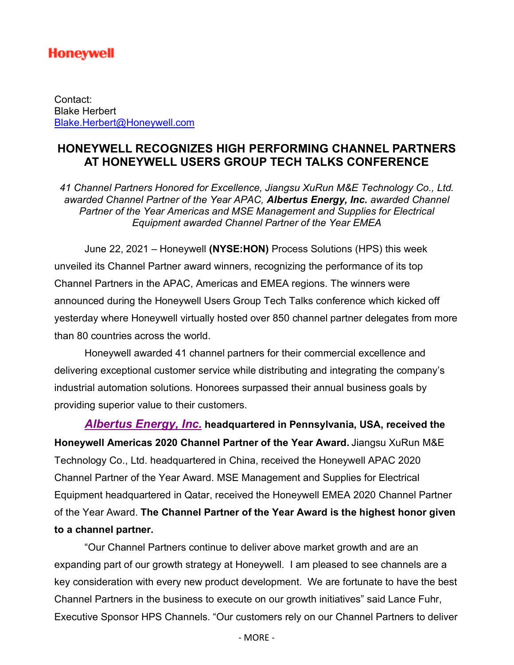# **Honeywell**

Contact: Blake Herbert Blake.Herbert@Honeywell.com

## **HONEYWELL RECOGNIZES HIGH PERFORMING CHANNEL PARTNERS AT HONEYWELL USERS GROUP TECH TALKS CONFERENCE**

*41 Channel Partners Honored for Excellence, Jiangsu XuRun M&E Technology Co., Ltd. awarded Channel Partner of the Year APAC, Albertus Energy, Inc. awarded Channel Partner of the Year Americas and MSE Management and Supplies for Electrical Equipment awarded Channel Partner of the Year EMEA*

June 22, 2021 – Honeywell **(NYSE:HON)** Process Solutions (HPS) this week unveiled its Channel Partner award winners, recognizing the performance of its top Channel Partners in the APAC, Americas and EMEA regions. The winners were announced during the Honeywell Users Group Tech Talks conference which kicked off yesterday where Honeywell virtually hosted over 850 channel partner delegates from more than 80 countries across the world.

Honeywell awarded 41 channel partners for their commercial excellence and delivering exceptional customer service while distributing and integrating the company's industrial automation solutions. Honorees surpassed their annual business goals by providing superior value to their customers.

*Albertus Energy, Inc.* **headquartered in Pennsylvania, USA, received the Honeywell Americas 2020 Channel Partner of the Year Award.** Jiangsu XuRun M&E Technology Co., Ltd. headquartered in China, received the Honeywell APAC 2020 Channel Partner of the Year Award. MSE Management and Supplies for Electrical Equipment headquartered in Qatar, received the Honeywell EMEA 2020 Channel Partner of the Year Award. **The Channel Partner of the Year Award is the highest honor given to a channel partner.**

"Our Channel Partners continue to deliver above market growth and are an expanding part of our growth strategy at Honeywell. I am pleased to see channels are a key consideration with every new product development. We are fortunate to have the best Channel Partners in the business to execute on our growth initiatives" said Lance Fuhr, Executive Sponsor HPS Channels. "Our customers rely on our Channel Partners to deliver